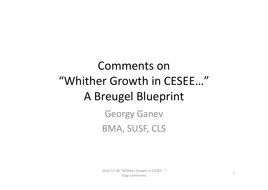## Comments on"Whither Growth in CESEE…" A Breugel Blueprint

Georgy Ganev BMA, SUSF, CLS

2010‐12‐06 "Whither Growth in CESEE..." Gogi comments 1<br>Gogi comments 1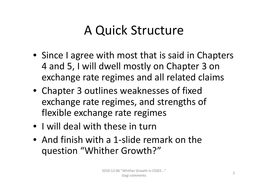## A Quick Structure

- Since I agree with most that is said in Chapters 4 and 5, I will dwell mostly on Chapter 3 on exchange rate regimes and all related claims
- Chapter 3 outlines weaknesses of fixed exchange rate regimes, and strengths of flexible exchange rate regimes
- I will deal with these in turn
- And finish with a 1-slide remark on the question "Whither Growth?"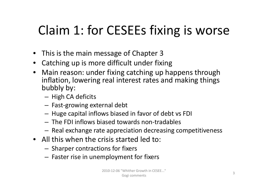# Claim 1: for CESEEs fixing is worse

- This is the main message of Chapter 3
- Catching up is more difficult under fixing
- Main reason: under fixing catching up happens through inflation, lowering real interest rates and making things bubbly by:
	- High CA deficits
	- Fast‐growing external debt
	- – $-$  Huge capital inflows biased in favor of debt vs FDI
	- The FDI inflows biased towards non‐tradables
	- $-$  Real exchange rate appreciation decreasing competitiveness
- All this when the crisis started led to:
	- $-$  Sharper contractions for fixers
	- $-$  Faster rise in unemployment for fixers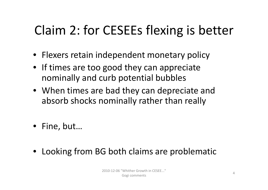# Claim 2: for CESEEs flexing is better

- Flexers retain independent monetary policy
- If times are too good they can appreciate nominally and curb potential bubbles
- When times are bad they can depreciate and absorb shocks nominally rather than really
- Fine, but…
- Looking from BG both claims are problematic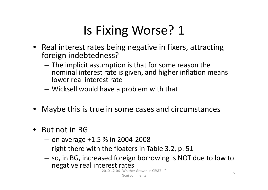- Real interest rates being negative in fixers, attracting foreign indebtedness?
	- $-$  The implicit assumption is that for some reason the nominal interest rate is given, and higher inflation means lower real interest rate
	- Wicksell would have <sup>a</sup> problem with that
- Maybe this is true in some cases and circumstances
- • $\bullet$  But not in BG
	- on average +1.5 % in 2004-2008
	- $-$  right there with the floaters in Table 3.2, p. 51
	- – $-$  so, in BG, increased foreign borrowing is NOT due to low to negative real interest rates

2010‐12‐06 "Whither Growth in CESEE..." Gogi comments **5**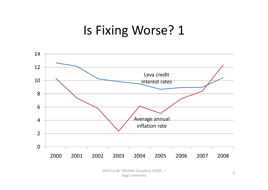

2010-12-06 "Whither Growth in CESEE..." Gogi comments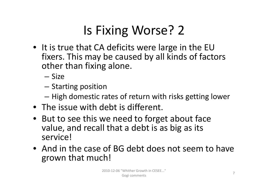- It is true that CA deficits were large in the EU fixers. This may be caused by all kinds of factors other than fixing alone.
	- Size
	- $-$  Starting position
	- High domestic rates of return with risks getting lower
- The issue with debt is different.
- But to see this we need to forget about face value, and recall that <sup>a</sup> debt is as big as its service!
- And in the case of BG debt does not seem to have grown that much!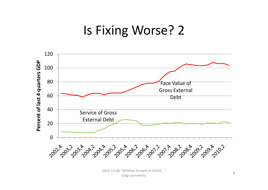

2010-12-06 "Whither Growth in CESEE..." Gogi comments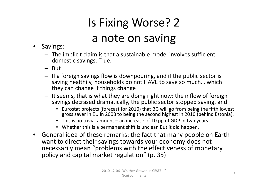# Is Fixing Worse? 2 a note on saving

- • Savings:
	- The implicit claim is that <sup>a</sup> sustainable model involves sufficient domestic savings. True.
	- But
	- If <sup>a</sup> foreign savings flow is downpouring, and if the public sector is saving healthily, households do not HAVE to save so much… which they can change if things change
	- It seems, that is what they are doing right now: the inflow of foreign savings decrased dramatically, the public sector stopped saving, and:
		- Eurostat projects (forecast for 2010) that BG will go from being the fifth lowest gross saver in EU in 2008 to being the second highest in 2010 (behind Estonia).
		- This is no trivial amount an increase of 10 pp of GDP in two years.
		- Whether this is a permanent shift is unclear. But it did happen.
- General idea of these remarks: the fact that many people on Earth want to direct their savings towards your economy does not necessarily mean "problems with the effectiveness of monetary policy and capital market regulation" (p. 35)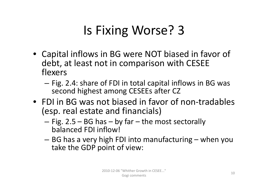- Capital inflows in BG were NOT biased in favor of debt, at least not in comparison with CESEE flexers
	- $-$  Fig. 2.4: share of FDI in total capital inflows in BG was second highest among CESEEs after CZ
- FDI in BG was not biased in favor of non‐tradables (esp. real estate and financials)
	- $-$  Fig. 2.5 BG has by far the most sectorally balanced FDI inflow!
	- $-$  BG has a very high FDI into manufacturing when you take the GDP point of view: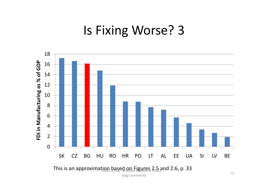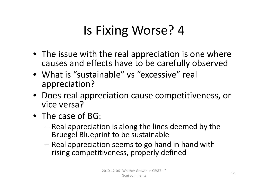- $\bullet$  The issue with the real appreciation is one where causes and effects have to be carefully observed
- What is "sustainable" vs "excessive" real appreciation?
- Does real appreciation cause competitiveness, or vice versa?
- The case of BG:
	- – $-$  Real appreciation is along the lines deemed by the Bruegel Blueprint to be sustainable
	- $-$  Real appreciation seems to go hand in hand with rising competitiveness, properly defined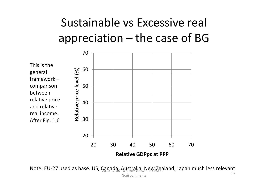

Note: EU-27 used as base. US, Canada, Australia, New Zealand, Japan much less relevant Gogi comments 13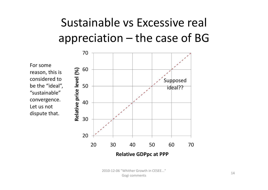For somereason, this is considered tobe the "ideal", "sustainable"convergence. Let us not dispute that.

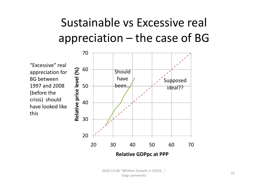

2010‐12‐06 "Whither Growth in CESEE..." Gogi comments 15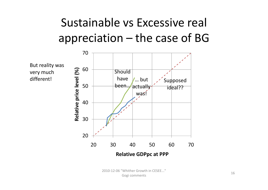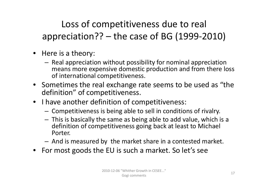Loss of competitiveness due to real appreciation?? – the case of BG (1999‐2010)

- Here is a theory:
	- $-$  Real appreciation without possibility for nominal appreciation means more expensive domestic production and from there loss of international competitiveness.
- Sometimes the real exchange rate seems to be used as "the definition" of competitiveness.
- I have another definition of competitiveness:
	- Competitiveness is being able to sell in conditions of rivalry.
	- This is basically the same as being able to add value, which is <sup>a</sup> definition of competitiveness going back at least to Michael Porter.
	- And is measured by the market share in <sup>a</sup> contested market.
- For most goods the EU is such <sup>a</sup> market. So let's see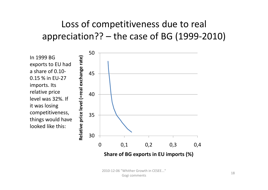#### Loss of competitiveness due to real appreciation?? – the case of BG (1999‐2010)

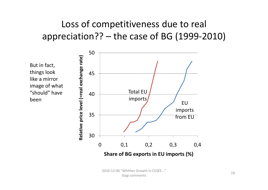#### Loss of competitiveness due to real appreciation?? – the case of BG (1999‐2010)

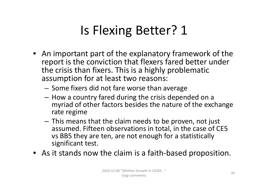## Is Flexing Better? 1

- $\bullet~$  An important part of the explanatory framework of the report is the conviction that flexers fared better under the crisis than fixers. This is a highly problematic assumption for at least two reasons:
	- $-$  Some fixers did not fare worse than average
	- $-$  How a country fared during the crisis depended on a myriad of other factors besides the nature of the exchange rate regime
	- This means that the claim needs to be proven, not just assumed. Fifteen observations in total, in the case of CE5 vs BB5 they are ten, are not enough for <sup>a</sup> statistically significant test.
- As it stands now the claim is <sup>a</sup> faith‐based proposition.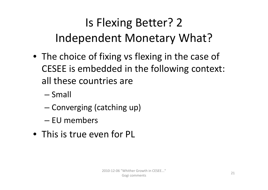## Is Flexing Better? 2 Independent Monetary What?

- The choice of fixing vs flexing in the case of CESEE is embedded in the following context: all these countries are
	- Small
	- **Converging (catching up)**
	- EU members
- This is true even for PL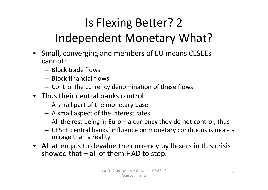## Is Flexing Better? 2 Independent Monetary What?

- Small, converging and members of EU means CESEEs cannot:
	- Block trade flows
	- Block financial flows
	- $-$  Control the currency denomination of these flows
- Thus their central banks control
	- A small part of the monetary base
	- A small aspect of the interest rates
	- $-$  All the rest being in Euro  $-$  a currency they do not control, thus
	- CESEE central banks' influence on monetary conditions is more <sup>a</sup> mirage than <sup>a</sup> reality
- All attempts to devalue the currency by flexers in this crisis showed that – all of them HAD to stop.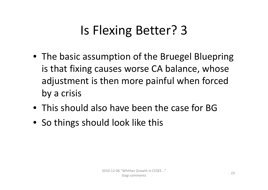## Is Flexing Better? 3

- The basic assumption of the Bruegel Bluepring is that fixing causes worse CA balance, whose adjustment is then more painful when forced by <sup>a</sup> crisis
- This should also have been the case for BG
- So things should look like this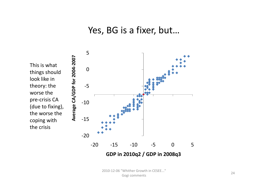#### Yes, BG is a fixer, but...



**GDP in 2010q2 / GDP in 2008q3**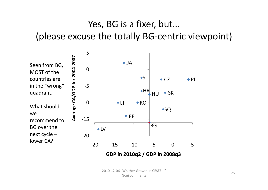#### Yes, BG is <sup>a</sup> fixer, but… (please excuse the totally BG‐centric viewpoint)

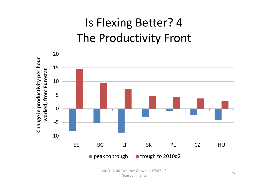## Is Flexing Better? 4 The Productivity Front



2010-12-06 "Whither Growth in CESEE..." Gogi comments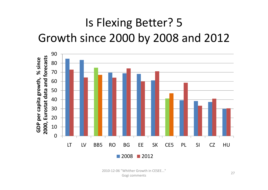## Is Flexing Better? 5 Growth since 2000 by 2008 and 2012



2010-12-06 "Whither Growth in CFSFF..." Gogi comments